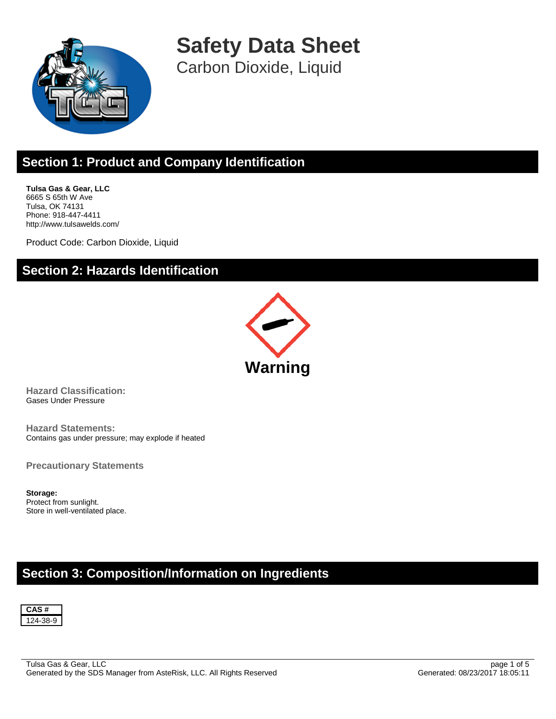

**Safety Data Sheet** Carbon Dioxide, Liquid

## **Section 1: Product and Company Identification**

**Tulsa Gas & Gear, LLC** 6665 S 65th W Ave Tulsa, OK 74131 Phone: 918-447-4411 http://www.tulsawelds.com/

Product Code: Carbon Dioxide, Liquid

#### **Section 2: Hazards Identification**



**Hazard Classification:** Gases Under Pressure

**Hazard Statements:** Contains gas under pressure; may explode if heated

**Precautionary Statements**

**Storage:** Protect from sunlight. Store in well-ventilated place.

### **Section 3: Composition/Information on Ingredients**

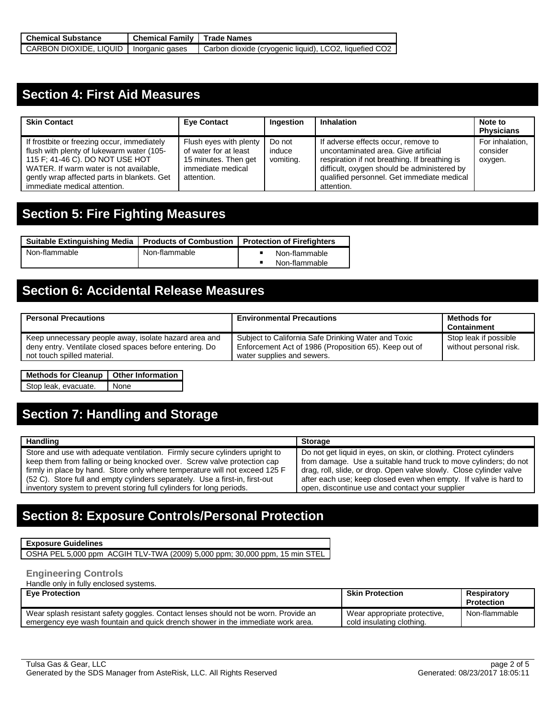| <b>Chemical Substance</b>                | <b>Chemical Family   Trade Names</b> |                                                        |
|------------------------------------------|--------------------------------------|--------------------------------------------------------|
| CARBON DIOXIDE, LIQUID   Inorganic gases |                                      | Carbon dioxide (cryogenic liquid), LCO2, liquefied CO2 |

## **Section 4: First Aid Measures**

| <b>Skin Contact</b>                                                                                                                                                                                                                                  | <b>Eye Contact</b>                                                                                         | Ingestion                     | <b>Inhalation</b>                                                                                                                                                                                                                       | Note to<br><b>Physicians</b>           |
|------------------------------------------------------------------------------------------------------------------------------------------------------------------------------------------------------------------------------------------------------|------------------------------------------------------------------------------------------------------------|-------------------------------|-----------------------------------------------------------------------------------------------------------------------------------------------------------------------------------------------------------------------------------------|----------------------------------------|
| If frostbite or freezing occur, immediately<br>flush with plenty of lukewarm water (105-<br>115 F; 41-46 C). DO NOT USE HOT<br>WATER. If warm water is not available,<br>gently wrap affected parts in blankets. Get<br>immediate medical attention. | Flush eyes with plenty<br>of water for at least<br>15 minutes. Then get<br>immediate medical<br>attention. | Do not<br>induce<br>vomiting. | If adverse effects occur, remove to<br>uncontaminated area. Give artificial<br>respiration if not breathing. If breathing is<br>difficult, oxygen should be administered by<br>qualified personnel. Get immediate medical<br>attention. | For inhalation.<br>consider<br>oxygen. |

### **Section 5: Fire Fighting Measures**

| Suitable Extinguishing Media   Products of Combustion   Protection of Firefighters |               |               |               |
|------------------------------------------------------------------------------------|---------------|---------------|---------------|
|                                                                                    | Non-flammable | Non-flammable | Non-flammable |
|                                                                                    |               |               | Non-flammable |

### **Section 6: Accidental Release Measures**

| <b>Personal Precautions</b>                                                                                                                     | <b>Environmental Precautions</b>                                                                                                           | <b>Methods for</b><br><b>Containment</b>        |
|-------------------------------------------------------------------------------------------------------------------------------------------------|--------------------------------------------------------------------------------------------------------------------------------------------|-------------------------------------------------|
| Keep unnecessary people away, isolate hazard area and<br>deny entry. Ventilate closed spaces before entering. Do<br>not touch spilled material. | Subject to California Safe Drinking Water and Toxic<br>Enforcement Act of 1986 (Proposition 65). Keep out of<br>water supplies and sewers. | Stop leak if possible<br>without personal risk. |

**Methods for Cleanup** | Other Information Stop leak, evacuate. None

## **Section 7: Handling and Storage**

| <b>Handling</b>                                                              | <b>Storage</b>                                                      |
|------------------------------------------------------------------------------|---------------------------------------------------------------------|
| Store and use with adequate ventilation. Firmly secure cylinders upright to  | Do not get liquid in eyes, on skin, or clothing. Protect cylinders  |
| keep them from falling or being knocked over. Screw valve protection cap     | from damage. Use a suitable hand truck to move cylinders; do not    |
| firmly in place by hand. Store only where temperature will not exceed 125 F  | drag, roll, slide, or drop. Open valve slowly. Close cylinder valve |
| (52 C). Store full and empty cylinders separately. Use a first-in, first-out | after each use; keep closed even when empty. If valve is hard to    |
| inventory system to prevent storing full cylinders for long periods.         | open, discontinue use and contact your supplier                     |

## **Section 8: Exposure Controls/Personal Protection**

#### **Exposure Guidelines**

OSHA PEL 5,000 ppm ACGIH TLV-TWA (2009) 5,000 ppm; 30,000 ppm, 15 min STEL

#### **Engineering Controls**

Handle only in fully enclosed systems.

| <b>Eve Protection</b>                                                                                                                                                  | <b>Skin Protection</b>                                    | Respiratory<br><b>Protection</b> |
|------------------------------------------------------------------------------------------------------------------------------------------------------------------------|-----------------------------------------------------------|----------------------------------|
| Wear splash resistant safety goggles. Contact lenses should not be worn. Provide an<br>emergency eye wash fountain and quick drench shower in the immediate work area. | Wear appropriate protective,<br>cold insulating clothing. | Non-flammable                    |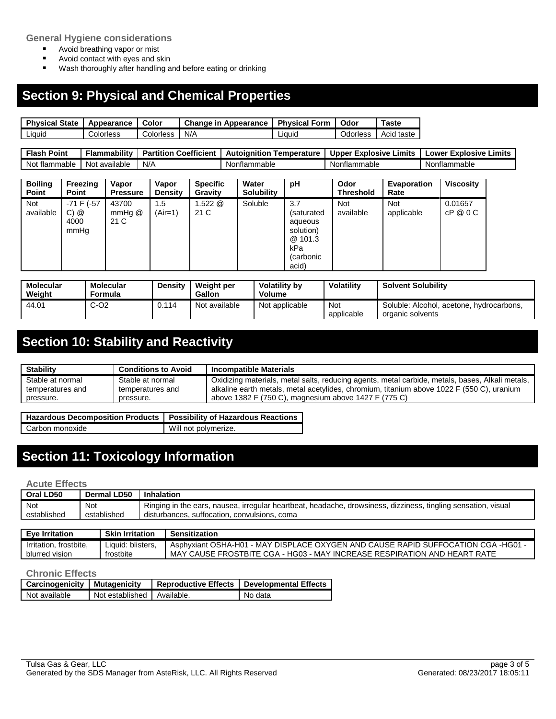#### **General Hygiene considerations**

- **Avoid breathing vapor or mist**
- **Avoid contact with eyes and skin**
- **Wash thoroughly after handling and before eating or drinking**

# **Section 9: Physical and Chemical Properties**

| <b>Physical State</b> | Appearance | Color     | Change in<br>Appearance | <b>Physical Form</b> | Odor     | .aste         |
|-----------------------|------------|-----------|-------------------------|----------------------|----------|---------------|
| Liauid                | Colorless  | Colorless | N/A                     | Liauid               | Odorless | taste<br>Acıd |

| Point<br>--<br>Flast   | .<br><b>Flammabilit</b> y | Coefficient<br>$\sim$ 0 $\times$ 1<br><b>Partition</b> | Autoianition<br>emperature | Limits<br>$-vr$<br>:xplosive<br>Upper | Limits<br>Explosive<br>_ower |
|------------------------|---------------------------|--------------------------------------------------------|----------------------------|---------------------------------------|------------------------------|
| No:<br>mable<br>. tlar | available<br>No.          | N/r                                                    | Nonflammable               | ntlammable<br>Nor                     | Nonflammable                 |

| <b>Boiling</b><br>Point | Freezing<br>Point                       | Vapor<br><b>Pressure</b> | Vapor<br><b>Density</b> | <b>Specific</b><br>Gravity | Water<br><b>Solubility</b> | рH                                                                                        | Odor<br>Threshold       | Evaporation<br>Rate      | <b>Viscosity</b>    |
|-------------------------|-----------------------------------------|--------------------------|-------------------------|----------------------------|----------------------------|-------------------------------------------------------------------------------------------|-------------------------|--------------------------|---------------------|
| <b>Not</b><br>available | $-71$ F $(-57)$<br>C) @<br>4000<br>mmHq | 43700<br>mmHq@<br>21 C   | 1.5<br>(Air=1)          | $1.522 \; @.$<br>21 C      | Soluble                    | 3.7<br>(saturated<br>aqueous<br>solution)<br>@ 101.3<br>kPa<br><i>(carbonic)</i><br>acid) | <b>Not</b><br>available | <b>Not</b><br>applicable | 0.01657<br>cP @ 0 C |

| <b>Molecular</b><br>Weight | Molecular<br>Formula | <b>Density</b> | Weight per<br>Gallon | Volatility by<br>Volume | Volatility        | <b>Solvent Solubility</b>                                    |
|----------------------------|----------------------|----------------|----------------------|-------------------------|-------------------|--------------------------------------------------------------|
| 44.01                      | C-O2                 | 0.114          | Not available        | Not applicable          | Not<br>applicable | Soluble: Alcohol, acetone, hydrocarbons,<br>organic solvents |

## **Section 10: Stability and Reactivity**

| <b>Stability</b> | <b>Conditions to Avoid</b> | <b>Incompatible Materials</b>                                                                   |
|------------------|----------------------------|-------------------------------------------------------------------------------------------------|
| Stable at normal | Stable at normal           | Oxidizing materials, metal salts, reducing agents, metal carbide, metals, bases, Alkali metals, |
| temperatures and | temperatures and           | alkaline earth metals, metal acetylides, chromium, titanium above 1022 F (550 C), uranium       |
| pressure.        | pressure.                  | above 1382 F (750 C), magnesium above 1427 F (775 C)                                            |
|                  |                            |                                                                                                 |

| Hazardous Decomposition Products   Possibility of Hazardous Reactions |                      |
|-----------------------------------------------------------------------|----------------------|
| Carbon monoxide                                                       | Will not polymerize. |

## **Section 11: Toxicology Information**

#### **Acute Effects**

| Oral LD50   | <b>Dermal LD50</b> | Inhalation                                                                                                    |
|-------------|--------------------|---------------------------------------------------------------------------------------------------------------|
| Not         | Not                | Ringing in the ears, nausea, irregular heartbeat, headache, drowsiness, dizziness, tingling sensation, visual |
| established | established        | disturbances, suffocation, convulsions, coma                                                                  |

| <b>Eve Irritation</b>  | <b>Skin Irritation</b> | Sensitization                                                                     |
|------------------------|------------------------|-----------------------------------------------------------------------------------|
| Irritation, frostbite, | Liauid: blisters.      | Asphyxiant OSHA-H01 - MAY DISPLACE OXYGEN AND CAUSE RAPID SUFFOCATION CGA -HG01 - |
| blurred vision         | frostbite              | MAY CAUSE FROSTBITE CGA - HG03 - MAY INCREASE RESPIRATION AND HEART RATE          |

#### **Chronic Effects**

| <b>Carcinogenicity   Mutagenicity</b> |                            | Reproductive Effects   Developmental Effects |
|---------------------------------------|----------------------------|----------------------------------------------|
| Not available                         | Not established Available. | No data                                      |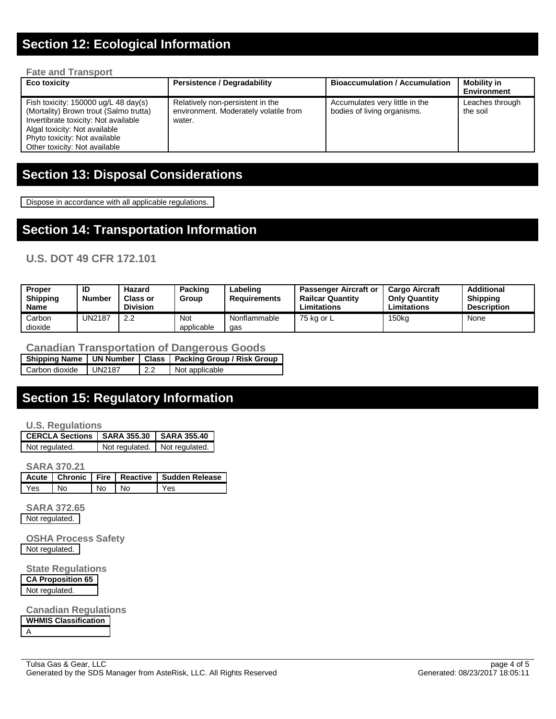### **Section 12: Ecological Information**

#### **Fate and Transport**

| Eco toxicity                                                                                                                                                                                                                        | <b>Persistence / Degradability</b>                                                  | <b>Bioaccumulation / Accumulation</b>                         | <b>Mobility in</b><br>Environment |
|-------------------------------------------------------------------------------------------------------------------------------------------------------------------------------------------------------------------------------------|-------------------------------------------------------------------------------------|---------------------------------------------------------------|-----------------------------------|
| Fish toxicity: $150000 \text{ ug/L}$ 48 day(s)<br>(Mortality) Brown trout (Salmo trutta)<br>Invertibrate toxicity: Not available<br>Algal toxicity: Not available<br>Phyto toxicity: Not available<br>Other toxicity: Not available | Relatively non-persistent in the<br>environment. Moderately volatile from<br>water. | Accumulates very little in the<br>bodies of living organisms. | Leaches through<br>the soil       |

### **Section 13: Disposal Considerations**

Dispose in accordance with all applicable regulations.

#### **Section 14: Transportation Information**

#### **U.S. DOT 49 CFR 172.101**

| <b>Proper</b><br><b>Shipping</b><br>Name | ID<br><b>Number</b> | Hazard<br><b>Class or</b><br><b>Division</b> | Packing<br>Group  | Labeling<br>Requirements | <b>Passenger Aircraft or</b><br><b>Railcar Quantity</b><br>Limitations | <b>Cargo Aircraft</b><br><b>Only Quantity</b><br>Limitations | Additional<br><b>Shipping</b><br><b>Description</b> |
|------------------------------------------|---------------------|----------------------------------------------|-------------------|--------------------------|------------------------------------------------------------------------|--------------------------------------------------------------|-----------------------------------------------------|
| Carbon<br>dioxide                        | UN2187              | っっ<br>L.L                                    | Not<br>applicable | Nonflammable<br>qas      | 75 kg or L                                                             | 150 <sub>kg</sub>                                            | None                                                |

#### **Canadian Transportation of Dangerous Goods**

|                |        |                  | Shipping Name   UN Number   Class   Packing Group / Risk Group |
|----------------|--------|------------------|----------------------------------------------------------------|
| Carbon dioxide | UN2187 | $\overline{2.2}$ | Not applicable                                                 |

## **Section 15: Regulatory Information**

**U.S. Regulations**

| CERCLA Sections   SARA 355.30   SARA 355.40 |                               |  |
|---------------------------------------------|-------------------------------|--|
| Not regulated.                              | Not regulated. Not regulated. |  |

**SARA 370.21**

|     |      |    |                   | Acute   Chronic   Fire   Reactive   Sudden Release |
|-----|------|----|-------------------|----------------------------------------------------|
| Yes | l No | No | $\overline{1}$ No | Yes                                                |

**SARA 372.65** Not regulated.

**OSHA Process Safety** Not regulated.

**State Regulations CA Proposition 65** Not regulated.

**Canadian Regulations WHMIS Classification** A